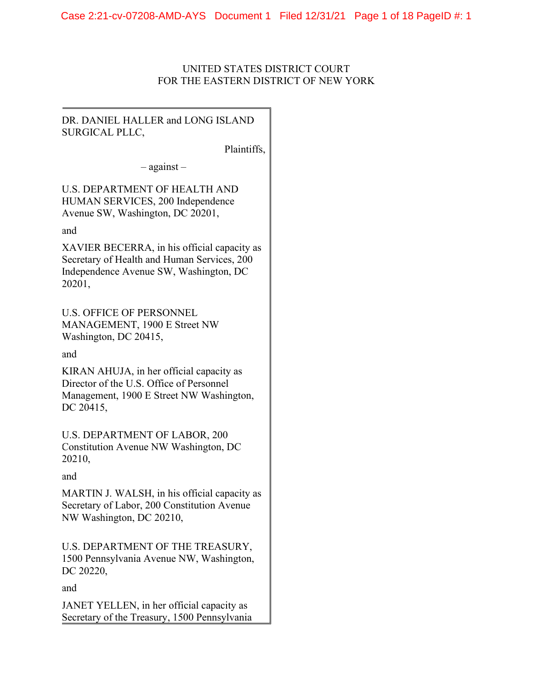# UNITED STATES DISTRICT COURT FOR THE EASTERN DISTRICT OF NEW YORK

# DR. DANIEL HALLER and LONG ISLAND SURGICAL PLLC,

Plaintiffs,

– against –

U.S. DEPARTMENT OF HEALTH AND HUMAN SERVICES, 200 Independence Avenue SW, Washington, DC 20201,

and

XAVIER BECERRA, in his official capacity as Secretary of Health and Human Services, 200 Independence Avenue SW, Washington, DC 20201,

U.S. OFFICE OF PERSONNEL MANAGEMENT, 1900 E Street NW Washington, DC 20415,

and

KIRAN AHUJA, in her official capacity as Director of the U.S. Office of Personnel Management, 1900 E Street NW Washington, DC 20415,

U.S. DEPARTMENT OF LABOR, 200 Constitution Avenue NW Washington, DC 20210,

and

MARTIN J. WALSH, in his official capacity as Secretary of Labor, 200 Constitution Avenue NW Washington, DC 20210,

U.S. DEPARTMENT OF THE TREASURY, 1500 Pennsylvania Avenue NW, Washington, DC 20220,

and

JANET YELLEN, in her official capacity as Secretary of the Treasury, 1500 Pennsylvania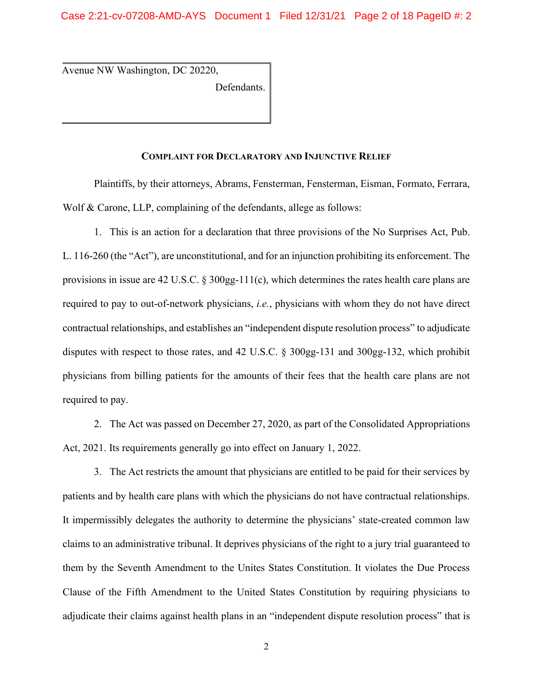Avenue NW Washington, DC 20220,

Defendants.

## **COMPLAINT FOR DECLARATORY AND INJUNCTIVE RELIEF**

Plaintiffs, by their attorneys, Abrams, Fensterman, Fensterman, Eisman, Formato, Ferrara, Wolf & Carone, LLP, complaining of the defendants, allege as follows:

1. This is an action for a declaration that three provisions of the No Surprises Act, Pub. L. 116-260 (the "Act"), are unconstitutional, and for an injunction prohibiting its enforcement. The provisions in issue are 42 U.S.C. § 300gg-111(c), which determines the rates health care plans are required to pay to out-of-network physicians, *i.e.*, physicians with whom they do not have direct contractual relationships, and establishes an "independent dispute resolution process" to adjudicate disputes with respect to those rates, and 42 U.S.C. § 300gg-131 and 300gg-132, which prohibit physicians from billing patients for the amounts of their fees that the health care plans are not required to pay.

2. The Act was passed on December 27, 2020, as part of the Consolidated Appropriations Act, 2021. Its requirements generally go into effect on January 1, 2022.

3. The Act restricts the amount that physicians are entitled to be paid for their services by patients and by health care plans with which the physicians do not have contractual relationships. It impermissibly delegates the authority to determine the physicians' state-created common law claims to an administrative tribunal. It deprives physicians of the right to a jury trial guaranteed to them by the Seventh Amendment to the Unites States Constitution. It violates the Due Process Clause of the Fifth Amendment to the United States Constitution by requiring physicians to adjudicate their claims against health plans in an "independent dispute resolution process" that is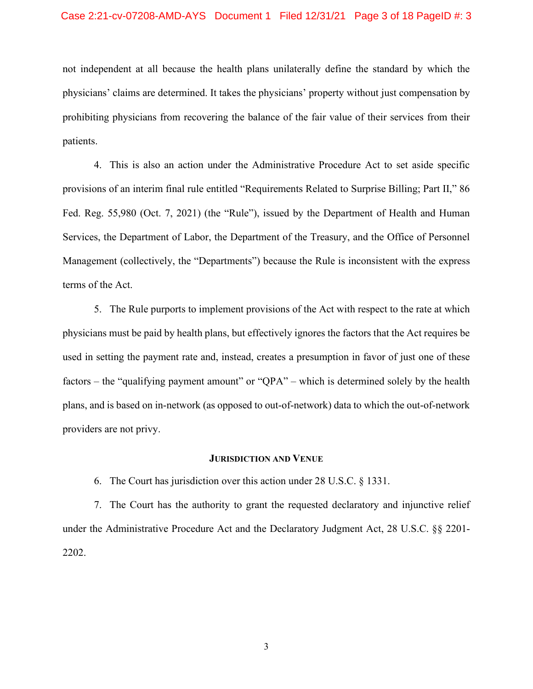not independent at all because the health plans unilaterally define the standard by which the physicians' claims are determined. It takes the physicians' property without just compensation by prohibiting physicians from recovering the balance of the fair value of their services from their patients.

4. This is also an action under the Administrative Procedure Act to set aside specific provisions of an interim final rule entitled "Requirements Related to Surprise Billing; Part II," 86 Fed. Reg. 55,980 (Oct. 7, 2021) (the "Rule"), issued by the Department of Health and Human Services, the Department of Labor, the Department of the Treasury, and the Office of Personnel Management (collectively, the "Departments") because the Rule is inconsistent with the express terms of the Act.

5. The Rule purports to implement provisions of the Act with respect to the rate at which physicians must be paid by health plans, but effectively ignores the factors that the Act requires be used in setting the payment rate and, instead, creates a presumption in favor of just one of these factors – the "qualifying payment amount" or "QPA" – which is determined solely by the health plans, and is based on in-network (as opposed to out-of-network) data to which the out-of-network providers are not privy.

#### **JURISDICTION AND VENUE**

6. The Court has jurisdiction over this action under 28 U.S.C. § 1331.

7. The Court has the authority to grant the requested declaratory and injunctive relief under the Administrative Procedure Act and the Declaratory Judgment Act, 28 U.S.C. §§ 2201- 2202.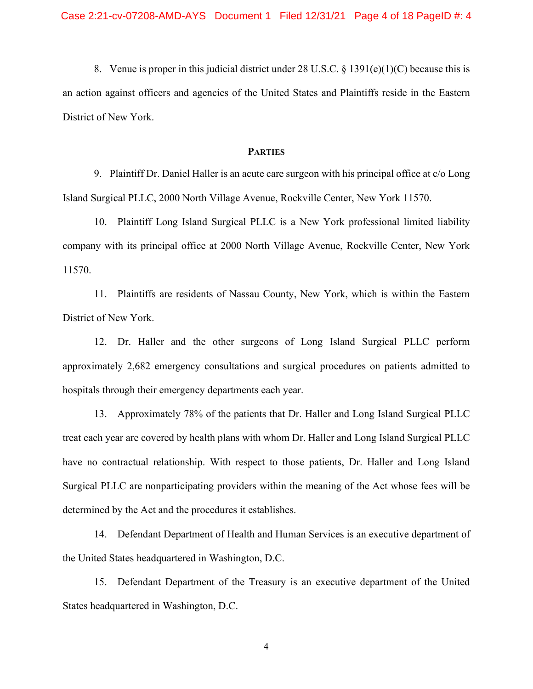8. Venue is proper in this judicial district under 28 U.S.C.  $\S 1391(e)(1)(C)$  because this is an action against officers and agencies of the United States and Plaintiffs reside in the Eastern District of New York.

#### **PARTIES**

9. Plaintiff Dr. Daniel Haller is an acute care surgeon with his principal office at c/o Long Island Surgical PLLC, 2000 North Village Avenue, Rockville Center, New York 11570.

10. Plaintiff Long Island Surgical PLLC is a New York professional limited liability company with its principal office at 2000 North Village Avenue, Rockville Center, New York 11570.

11. Plaintiffs are residents of Nassau County, New York, which is within the Eastern District of New York.

12. Dr. Haller and the other surgeons of Long Island Surgical PLLC perform approximately 2,682 emergency consultations and surgical procedures on patients admitted to hospitals through their emergency departments each year.

13. Approximately 78% of the patients that Dr. Haller and Long Island Surgical PLLC treat each year are covered by health plans with whom Dr. Haller and Long Island Surgical PLLC have no contractual relationship. With respect to those patients, Dr. Haller and Long Island Surgical PLLC are nonparticipating providers within the meaning of the Act whose fees will be determined by the Act and the procedures it establishes.

14. Defendant Department of Health and Human Services is an executive department of the United States headquartered in Washington, D.C.

15. Defendant Department of the Treasury is an executive department of the United States headquartered in Washington, D.C.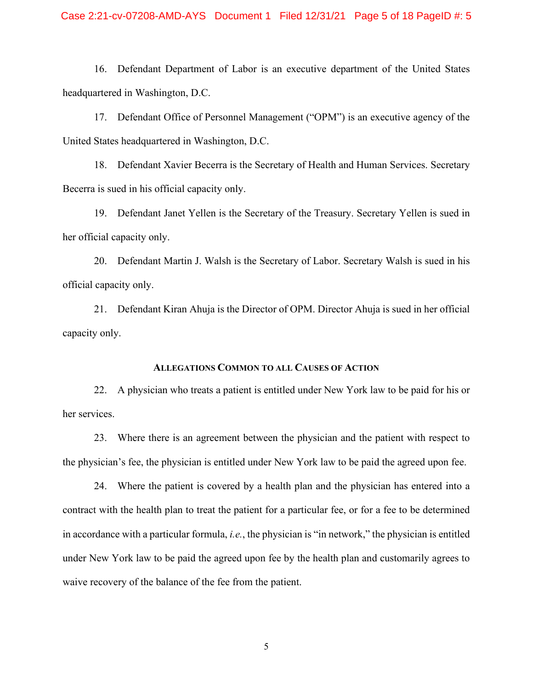### Case 2:21-cv-07208-AMD-AYS Document 1 Filed 12/31/21 Page 5 of 18 PageID #: 5

16. Defendant Department of Labor is an executive department of the United States headquartered in Washington, D.C.

17. Defendant Office of Personnel Management ("OPM") is an executive agency of the United States headquartered in Washington, D.C.

18. Defendant Xavier Becerra is the Secretary of Health and Human Services. Secretary Becerra is sued in his official capacity only.

19. Defendant Janet Yellen is the Secretary of the Treasury. Secretary Yellen is sued in her official capacity only.

20. Defendant Martin J. Walsh is the Secretary of Labor. Secretary Walsh is sued in his official capacity only.

21. Defendant Kiran Ahuja is the Director of OPM. Director Ahuja is sued in her official capacity only.

## **ALLEGATIONS COMMON TO ALL CAUSES OF ACTION**

22. A physician who treats a patient is entitled under New York law to be paid for his or her services.

23. Where there is an agreement between the physician and the patient with respect to the physician's fee, the physician is entitled under New York law to be paid the agreed upon fee.

24. Where the patient is covered by a health plan and the physician has entered into a contract with the health plan to treat the patient for a particular fee, or for a fee to be determined in accordance with a particular formula, *i.e.*, the physician is "in network," the physician is entitled under New York law to be paid the agreed upon fee by the health plan and customarily agrees to waive recovery of the balance of the fee from the patient.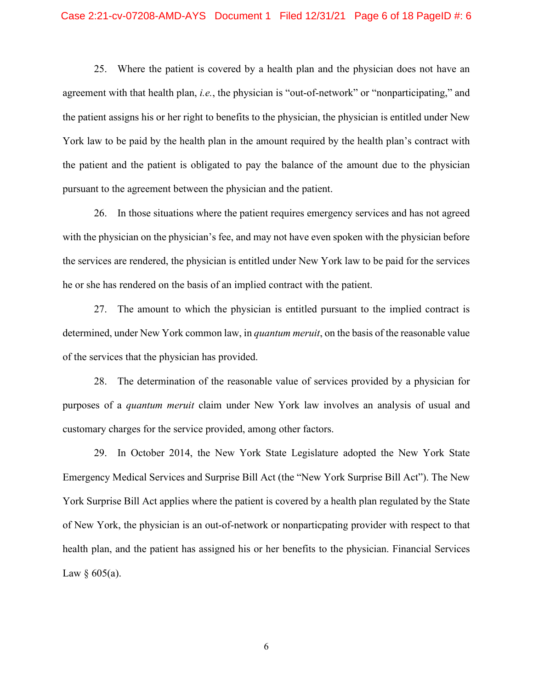25. Where the patient is covered by a health plan and the physician does not have an agreement with that health plan, *i.e.*, the physician is "out-of-network" or "nonparticipating," and the patient assigns his or her right to benefits to the physician, the physician is entitled under New York law to be paid by the health plan in the amount required by the health plan's contract with the patient and the patient is obligated to pay the balance of the amount due to the physician pursuant to the agreement between the physician and the patient.

26. In those situations where the patient requires emergency services and has not agreed with the physician on the physician's fee, and may not have even spoken with the physician before the services are rendered, the physician is entitled under New York law to be paid for the services he or she has rendered on the basis of an implied contract with the patient.

27. The amount to which the physician is entitled pursuant to the implied contract is determined, under New York common law, in *quantum meruit*, on the basis of the reasonable value of the services that the physician has provided.

28. The determination of the reasonable value of services provided by a physician for purposes of a *quantum meruit* claim under New York law involves an analysis of usual and customary charges for the service provided, among other factors.

29. In October 2014, the New York State Legislature adopted the New York State Emergency Medical Services and Surprise Bill Act (the "New York Surprise Bill Act"). The New York Surprise Bill Act applies where the patient is covered by a health plan regulated by the State of New York, the physician is an out-of-network or nonparticpating provider with respect to that health plan, and the patient has assigned his or her benefits to the physician. Financial Services Law  $\S$  605(a).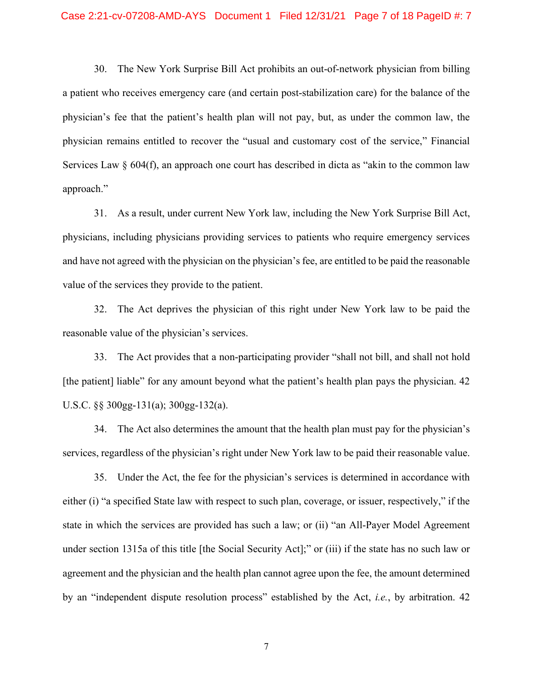30. The New York Surprise Bill Act prohibits an out-of-network physician from billing a patient who receives emergency care (and certain post-stabilization care) for the balance of the physician's fee that the patient's health plan will not pay, but, as under the common law, the physician remains entitled to recover the "usual and customary cost of the service," Financial Services Law  $\S$  604(f), an approach one court has described in dicta as "akin to the common law approach."

31. As a result, under current New York law, including the New York Surprise Bill Act, physicians, including physicians providing services to patients who require emergency services and have not agreed with the physician on the physician's fee, are entitled to be paid the reasonable value of the services they provide to the patient.

32. The Act deprives the physician of this right under New York law to be paid the reasonable value of the physician's services.

33. The Act provides that a non-participating provider "shall not bill, and shall not hold [the patient] liable" for any amount beyond what the patient's health plan pays the physician. 42 U.S.C. §§ 300gg-131(a); 300gg-132(a).

34. The Act also determines the amount that the health plan must pay for the physician's services, regardless of the physician's right under New York law to be paid their reasonable value.

35. Under the Act, the fee for the physician's services is determined in accordance with either (i) "a specified State law with respect to such plan, coverage, or issuer, respectively," if the state in which the services are provided has such a law; or (ii) "an All-Payer Model Agreement under section 1315a of this title [the Social Security Act];" or (iii) if the state has no such law or agreement and the physician and the health plan cannot agree upon the fee, the amount determined by an "independent dispute resolution process" established by the Act, *i.e.*, by arbitration. 42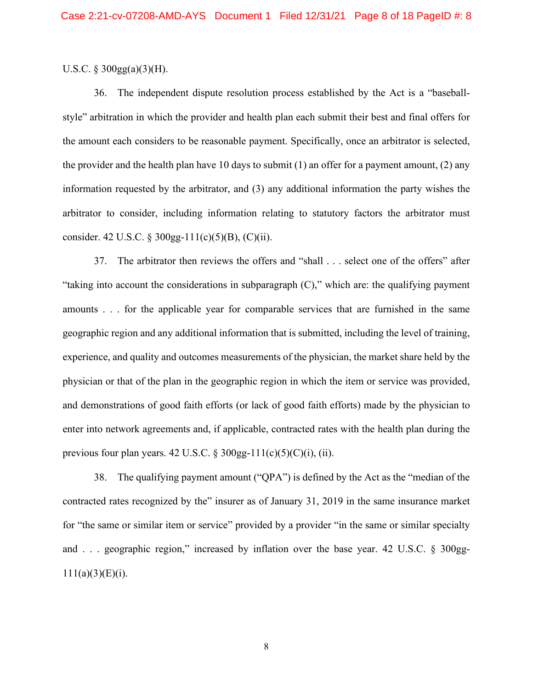## U.S.C.  $\S 300gg(a)(3)(H)$ .

36. The independent dispute resolution process established by the Act is a "baseballstyle" arbitration in which the provider and health plan each submit their best and final offers for the amount each considers to be reasonable payment. Specifically, once an arbitrator is selected, the provider and the health plan have 10 days to submit  $(1)$  an offer for a payment amount,  $(2)$  any information requested by the arbitrator, and (3) any additional information the party wishes the arbitrator to consider, including information relating to statutory factors the arbitrator must consider. 42 U.S.C. § 300gg-111(c)(5)(B), (C)(ii).

37. The arbitrator then reviews the offers and "shall . . . select one of the offers" after "taking into account the considerations in subparagraph (C)," which are: the qualifying payment amounts . . . for the applicable year for comparable services that are furnished in the same geographic region and any additional information that is submitted, including the level of training, experience, and quality and outcomes measurements of the physician, the market share held by the physician or that of the plan in the geographic region in which the item or service was provided, and demonstrations of good faith efforts (or lack of good faith efforts) made by the physician to enter into network agreements and, if applicable, contracted rates with the health plan during the previous four plan years. 42 U.S.C. § 300gg-111(c)(5)(C)(i), (ii).

38. The qualifying payment amount ("QPA") is defined by the Act as the "median of the contracted rates recognized by the" insurer as of January 31, 2019 in the same insurance market for "the same or similar item or service" provided by a provider "in the same or similar specialty and . . . geographic region," increased by inflation over the base year. 42 U.S.C. § 300gg- $111(a)(3)(E)(i)$ .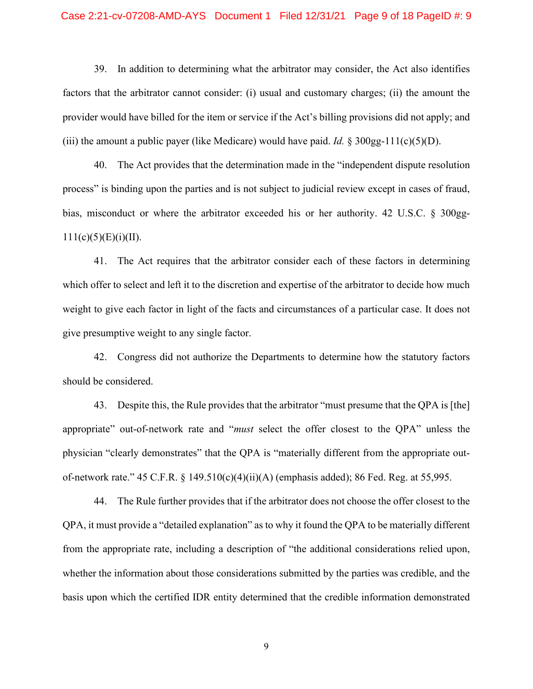## Case 2:21-cv-07208-AMD-AYS Document 1 Filed 12/31/21 Page 9 of 18 PageID #: 9

39. In addition to determining what the arbitrator may consider, the Act also identifies factors that the arbitrator cannot consider: (i) usual and customary charges; (ii) the amount the provider would have billed for the item or service if the Act's billing provisions did not apply; and (iii) the amount a public payer (like Medicare) would have paid. *Id.* § 300gg-111(c)(5)(D).

40. The Act provides that the determination made in the "independent dispute resolution process" is binding upon the parties and is not subject to judicial review except in cases of fraud, bias, misconduct or where the arbitrator exceeded his or her authority. 42 U.S.C. § 300gg- $111(c)(5)(E)(i)(II).$ 

41. The Act requires that the arbitrator consider each of these factors in determining which offer to select and left it to the discretion and expertise of the arbitrator to decide how much weight to give each factor in light of the facts and circumstances of a particular case. It does not give presumptive weight to any single factor.

42. Congress did not authorize the Departments to determine how the statutory factors should be considered.

43. Despite this, the Rule provides that the arbitrator "must presume that the QPA is [the] appropriate" out-of-network rate and "*must* select the offer closest to the QPA" unless the physician "clearly demonstrates" that the QPA is "materially different from the appropriate outof-network rate." 45 C.F.R. § 149.510(c)(4)(ii)(A) (emphasis added); 86 Fed. Reg. at 55,995.

44. The Rule further provides that if the arbitrator does not choose the offer closest to the QPA, it must provide a "detailed explanation" as to why it found the QPA to be materially different from the appropriate rate, including a description of "the additional considerations relied upon, whether the information about those considerations submitted by the parties was credible, and the basis upon which the certified IDR entity determined that the credible information demonstrated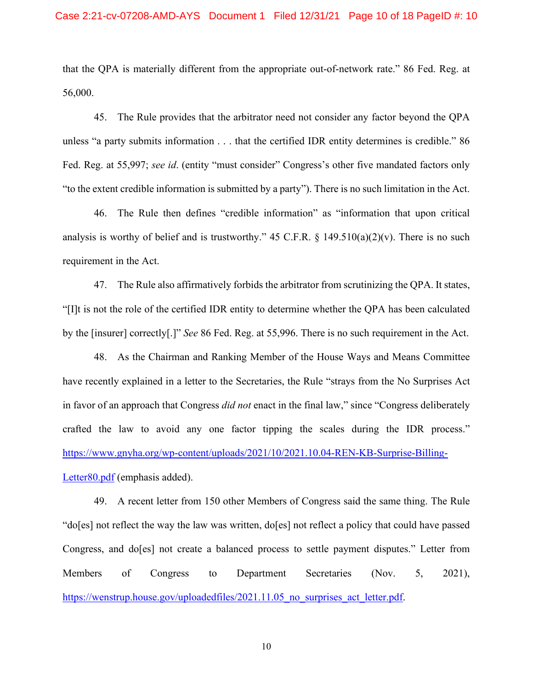that the QPA is materially different from the appropriate out-of-network rate." 86 Fed. Reg. at 56,000.

45. The Rule provides that the arbitrator need not consider any factor beyond the QPA unless "a party submits information . . . that the certified IDR entity determines is credible." 86 Fed. Reg. at 55,997; *see id*. (entity "must consider" Congress's other five mandated factors only "to the extent credible information is submitted by a party"). There is no such limitation in the Act.

46. The Rule then defines "credible information" as "information that upon critical analysis is worthy of belief and is trustworthy." 45 C.F.R.  $\S$  149.510(a)(2)(v). There is no such requirement in the Act.

47. The Rule also affirmatively forbids the arbitrator from scrutinizing the QPA. It states, "[I]t is not the role of the certified IDR entity to determine whether the QPA has been calculated by the [insurer] correctly[.]" *See* 86 Fed. Reg. at 55,996. There is no such requirement in the Act.

48. As the Chairman and Ranking Member of the House Ways and Means Committee have recently explained in a letter to the Secretaries, the Rule "strays from the No Surprises Act in favor of an approach that Congress *did not* enact in the final law," since "Congress deliberately crafted the law to avoid any one factor tipping the scales during the IDR process." [https://www.gnyha.org/wp-content/uploads/2021/10/2021.10.04-REN-KB-Surprise-Billing-](https://www.gnyha.org/wp-content/uploads/2021/10/2021.10.04-REN-KB-Surprise-Billing-Letter80.pdf)[Letter80.pdf](https://www.gnyha.org/wp-content/uploads/2021/10/2021.10.04-REN-KB-Surprise-Billing-Letter80.pdf) (emphasis added).

49. A recent letter from 150 other Members of Congress said the same thing. The Rule "do[es] not reflect the way the law was written, do[es] not reflect a policy that could have passed Congress, and do[es] not create a balanced process to settle payment disputes." Letter from Members of Congress to Department Secretaries (Nov. 5, 2021), https://wenstrup.house.gov/uploadedfiles/2021.11.05 no surprises act letter.pdf.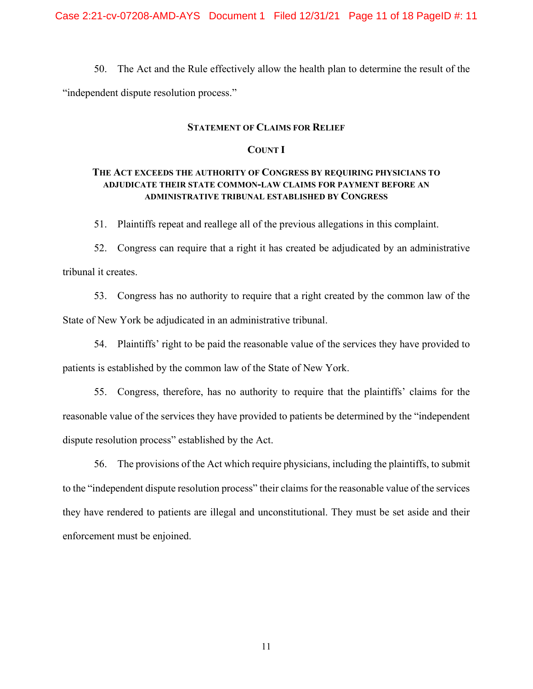50. The Act and the Rule effectively allow the health plan to determine the result of the "independent dispute resolution process."

### **STATEMENT OF CLAIMS FOR RELIEF**

### **COUNT I**

# **THE ACT EXCEEDS THE AUTHORITY OF CONGRESS BY REQUIRING PHYSICIANS TO ADJUDICATE THEIR STATE COMMON-LAW CLAIMS FOR PAYMENT BEFORE AN ADMINISTRATIVE TRIBUNAL ESTABLISHED BY CONGRESS**

51. Plaintiffs repeat and reallege all of the previous allegations in this complaint.

52. Congress can require that a right it has created be adjudicated by an administrative tribunal it creates.

53. Congress has no authority to require that a right created by the common law of the State of New York be adjudicated in an administrative tribunal.

54. Plaintiffs' right to be paid the reasonable value of the services they have provided to patients is established by the common law of the State of New York.

55. Congress, therefore, has no authority to require that the plaintiffs' claims for the reasonable value of the services they have provided to patients be determined by the "independent dispute resolution process" established by the Act.

56. The provisions of the Act which require physicians, including the plaintiffs, to submit to the "independent dispute resolution process" their claims for the reasonable value of the services they have rendered to patients are illegal and unconstitutional. They must be set aside and their enforcement must be enjoined.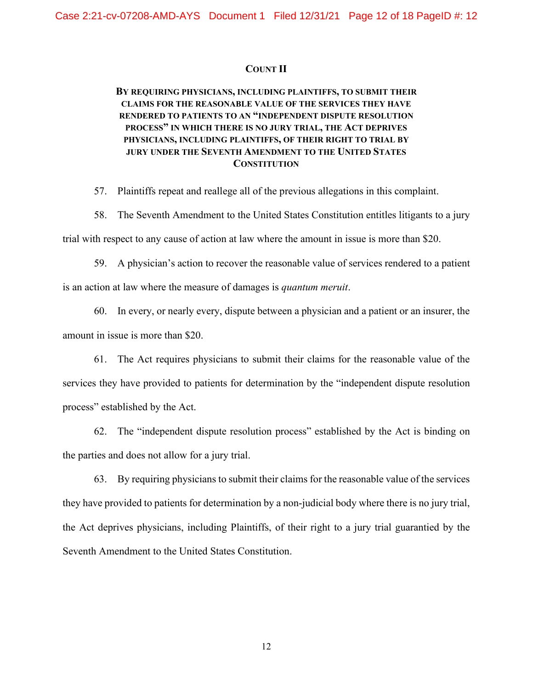## **COUNT II**

# **BY REQUIRING PHYSICIANS, INCLUDING PLAINTIFFS, TO SUBMIT THEIR CLAIMS FOR THE REASONABLE VALUE OF THE SERVICES THEY HAVE RENDERED TO PATIENTS TO AN "INDEPENDENT DISPUTE RESOLUTION PROCESS" IN WHICH THERE IS NO JURY TRIAL, THE ACT DEPRIVES PHYSICIANS, INCLUDING PLAINTIFFS, OF THEIR RIGHT TO TRIAL BY JURY UNDER THE SEVENTH AMENDMENT TO THE UNITED STATES CONSTITUTION**

57. Plaintiffs repeat and reallege all of the previous allegations in this complaint.

58. The Seventh Amendment to the United States Constitution entitles litigants to a jury trial with respect to any cause of action at law where the amount in issue is more than \$20.

59. A physician's action to recover the reasonable value of services rendered to a patient

is an action at law where the measure of damages is *quantum meruit*.

60. In every, or nearly every, dispute between a physician and a patient or an insurer, the amount in issue is more than \$20.

61. The Act requires physicians to submit their claims for the reasonable value of the services they have provided to patients for determination by the "independent dispute resolution process" established by the Act.

62. The "independent dispute resolution process" established by the Act is binding on the parties and does not allow for a jury trial.

63. By requiring physicians to submit their claims for the reasonable value of the services they have provided to patients for determination by a non-judicial body where there is no jury trial, the Act deprives physicians, including Plaintiffs, of their right to a jury trial guarantied by the Seventh Amendment to the United States Constitution.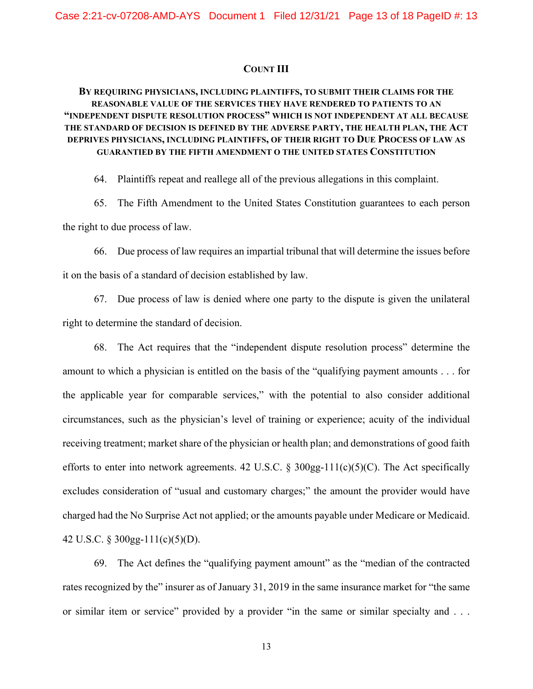#### **COUNT III**

# **BY REQUIRING PHYSICIANS, INCLUDING PLAINTIFFS, TO SUBMIT THEIR CLAIMS FOR THE REASONABLE VALUE OF THE SERVICES THEY HAVE RENDERED TO PATIENTS TO AN "INDEPENDENT DISPUTE RESOLUTION PROCESS" WHICH IS NOT INDEPENDENT AT ALL BECAUSE THE STANDARD OF DECISION IS DEFINED BY THE ADVERSE PARTY, THE HEALTH PLAN, THE ACT DEPRIVES PHYSICIANS, INCLUDING PLAINTIFFS, OF THEIR RIGHT TO DUE PROCESS OF LAW AS GUARANTIED BY THE FIFTH AMENDMENT O THE UNITED STATES CONSTITUTION**

64. Plaintiffs repeat and reallege all of the previous allegations in this complaint.

65. The Fifth Amendment to the United States Constitution guarantees to each person the right to due process of law.

66. Due process of law requires an impartial tribunal that will determine the issues before it on the basis of a standard of decision established by law.

67. Due process of law is denied where one party to the dispute is given the unilateral right to determine the standard of decision.

68. The Act requires that the "independent dispute resolution process" determine the amount to which a physician is entitled on the basis of the "qualifying payment amounts . . . for the applicable year for comparable services," with the potential to also consider additional circumstances, such as the physician's level of training or experience; acuity of the individual receiving treatment; market share of the physician or health plan; and demonstrations of good faith efforts to enter into network agreements. 42 U.S.C.  $\S 300gg-111(c)(5)(C)$ . The Act specifically excludes consideration of "usual and customary charges;" the amount the provider would have charged had the No Surprise Act not applied; or the amounts payable under Medicare or Medicaid. 42 U.S.C. § 300gg-111(c)(5)(D).

69. The Act defines the "qualifying payment amount" as the "median of the contracted rates recognized by the" insurer as of January 31, 2019 in the same insurance market for "the same or similar item or service" provided by a provider "in the same or similar specialty and . . .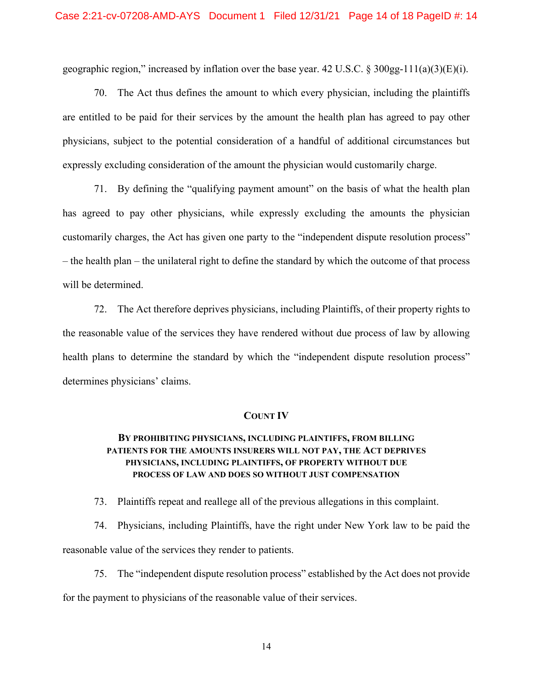geographic region," increased by inflation over the base year. 42 U.S.C.  $\S 300gg-111(a)(3)(E)(i)$ .

70. The Act thus defines the amount to which every physician, including the plaintiffs are entitled to be paid for their services by the amount the health plan has agreed to pay other physicians, subject to the potential consideration of a handful of additional circumstances but expressly excluding consideration of the amount the physician would customarily charge.

71. By defining the "qualifying payment amount" on the basis of what the health plan has agreed to pay other physicians, while expressly excluding the amounts the physician customarily charges, the Act has given one party to the "independent dispute resolution process" – the health plan – the unilateral right to define the standard by which the outcome of that process will be determined.

72. The Act therefore deprives physicians, including Plaintiffs, of their property rights to the reasonable value of the services they have rendered without due process of law by allowing health plans to determine the standard by which the "independent dispute resolution process" determines physicians' claims.

### **COUNT IV**

# **BY PROHIBITING PHYSICIANS, INCLUDING PLAINTIFFS, FROM BILLING PATIENTS FOR THE AMOUNTS INSURERS WILL NOT PAY, THE ACT DEPRIVES PHYSICIANS, INCLUDING PLAINTIFFS, OF PROPERTY WITHOUT DUE PROCESS OF LAW AND DOES SO WITHOUT JUST COMPENSATION**

73. Plaintiffs repeat and reallege all of the previous allegations in this complaint.

74. Physicians, including Plaintiffs, have the right under New York law to be paid the reasonable value of the services they render to patients.

75. The "independent dispute resolution process" established by the Act does not provide for the payment to physicians of the reasonable value of their services.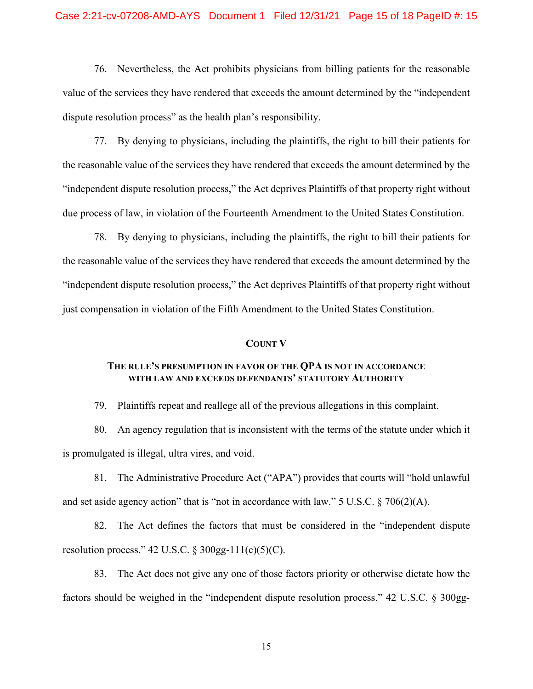### Case 2:21-cv-07208-AMD-AYS Document 1 Filed 12/31/21 Page 15 of 18 PageID #: 15

76. Nevertheless, the Act prohibits physicians from billing patients for the reasonable value of the services they have rendered that exceeds the amount determined by the "independent dispute resolution process" as the health plan's responsibility.

77. By denying to physicians, including the plaintiffs, the right to bill their patients for the reasonable value of the services they have rendered that exceeds the amount determined by the "independent dispute resolution process," the Act deprives Plaintiffs of that property right without due process of law, in violation of the Fourteenth Amendment to the United States Constitution.

78. By denying to physicians, including the plaintiffs, the right to bill their patients for the reasonable value of the services they have rendered that exceeds the amount determined by the "independent dispute resolution process," the Act deprives Plaintiffs of that property right without just compensation in violation of the Fifth Amendment to the United States Constitution.

#### **COUNT V**

## **THE RULE'S PRESUMPTION IN FAVOR OF THE QPA IS NOT IN ACCORDANCE WITH LAW AND EXCEEDS DEFENDANTS' STATUTORY AUTHORITY**

79. Plaintiffs repeat and reallege all of the previous allegations in this complaint.

80. An agency regulation that is inconsistent with the terms of the statute under which it is promulgated is illegal, ultra vires, and void.

81. The Administrative Procedure Act ("APA") provides that courts will "hold unlawful and set aside agency action" that is "not in accordance with law." 5 U.S.C. § 706(2)(A).

82. The Act defines the factors that must be considered in the "independent dispute resolution process." 42 U.S.C.  $\S 300gg-111(c)(5)(C)$ .

83. The Act does not give any one of those factors priority or otherwise dictate how the factors should be weighed in the "independent dispute resolution process." 42 U.S.C. § 300gg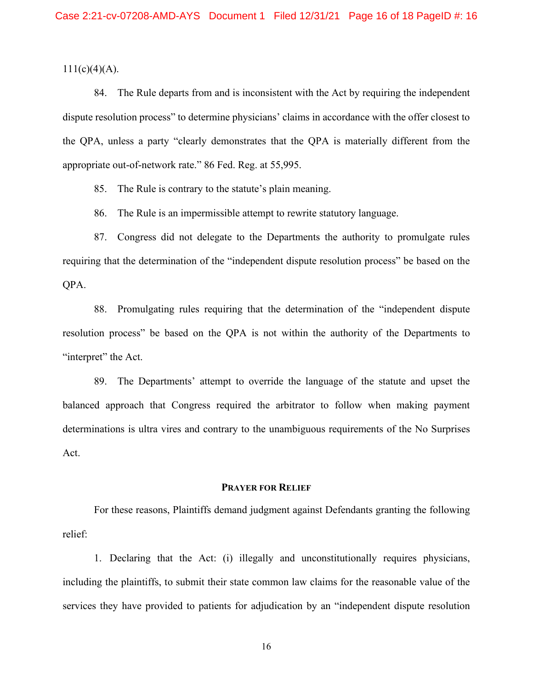$111(c)(4)(A)$ .

84. The Rule departs from and is inconsistent with the Act by requiring the independent dispute resolution process" to determine physicians' claims in accordance with the offer closest to the QPA, unless a party "clearly demonstrates that the QPA is materially different from the appropriate out-of-network rate." 86 Fed. Reg. at 55,995.

85. The Rule is contrary to the statute's plain meaning.

86. The Rule is an impermissible attempt to rewrite statutory language.

87. Congress did not delegate to the Departments the authority to promulgate rules requiring that the determination of the "independent dispute resolution process" be based on the QPA.

88. Promulgating rules requiring that the determination of the "independent dispute resolution process" be based on the QPA is not within the authority of the Departments to "interpret" the Act.

89. The Departments' attempt to override the language of the statute and upset the balanced approach that Congress required the arbitrator to follow when making payment determinations is ultra vires and contrary to the unambiguous requirements of the No Surprises Act.

## **PRAYER FOR RELIEF**

For these reasons, Plaintiffs demand judgment against Defendants granting the following relief:

1. Declaring that the Act: (i) illegally and unconstitutionally requires physicians, including the plaintiffs, to submit their state common law claims for the reasonable value of the services they have provided to patients for adjudication by an "independent dispute resolution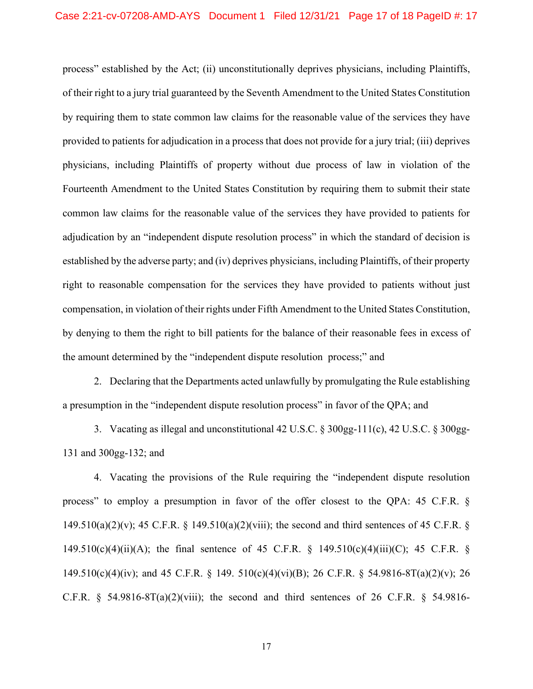process" established by the Act; (ii) unconstitutionally deprives physicians, including Plaintiffs, of their right to a jury trial guaranteed by the Seventh Amendment to the United States Constitution by requiring them to state common law claims for the reasonable value of the services they have provided to patients for adjudication in a process that does not provide for a jury trial; (iii) deprives physicians, including Plaintiffs of property without due process of law in violation of the Fourteenth Amendment to the United States Constitution by requiring them to submit their state common law claims for the reasonable value of the services they have provided to patients for adjudication by an "independent dispute resolution process" in which the standard of decision is established by the adverse party; and (iv) deprives physicians, including Plaintiffs, of their property right to reasonable compensation for the services they have provided to patients without just compensation, in violation of their rights under Fifth Amendment to the United States Constitution, by denying to them the right to bill patients for the balance of their reasonable fees in excess of the amount determined by the "independent dispute resolution process;" and

2. Declaring that the Departments acted unlawfully by promulgating the Rule establishing a presumption in the "independent dispute resolution process" in favor of the QPA; and

3. Vacating as illegal and unconstitutional 42 U.S.C. § 300gg-111(c), 42 U.S.C. § 300gg-131 and 300gg-132; and

4. Vacating the provisions of the Rule requiring the "independent dispute resolution process" to employ a presumption in favor of the offer closest to the QPA: 45 C.F.R. § 149.510(a)(2)(v); 45 C.F.R. § 149.510(a)(2)(viii); the second and third sentences of 45 C.F.R. § 149.510(c)(4)(ii)(A); the final sentence of 45 C.F.R. § 149.510(c)(4)(iii)(C); 45 C.F.R. § 149.510(c)(4)(iv); and 45 C.F.R. § 149. 510(c)(4)(vi)(B); 26 C.F.R. § 54.9816-8T(a)(2)(v); 26 C.F.R.  $\S$  54.9816-8T(a)(2)(viii); the second and third sentences of 26 C.F.R.  $\S$  54.9816